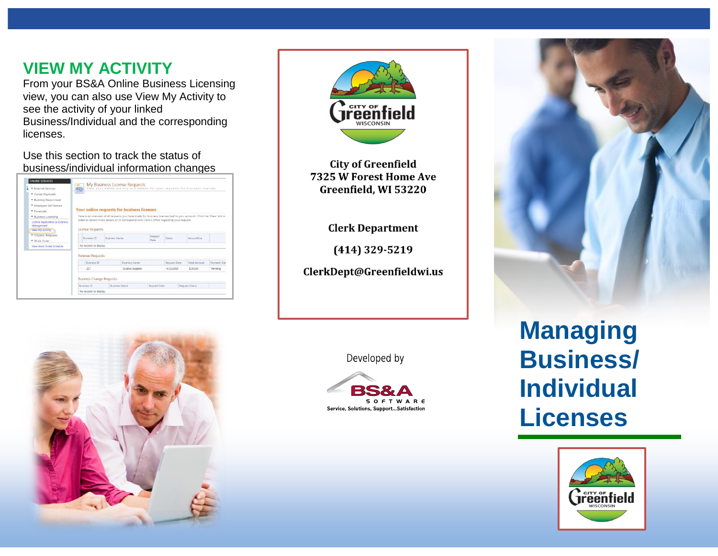## **VIEW MY ACTIVITY**

From your BS&A Online Business Licensing view, you can also use View My Activity to see the activity of your linked Business/Individual and the corresponding licenses.

Use this section to track the status of business/individual information changes

| Thernet Services                             | $\equiv$<br>噩                                     |                      | My Business License Requests                                                              |                 |               | View your online activity and details for your requests for business licenses.                                         |              |  |  |
|----------------------------------------------|---------------------------------------------------|----------------------|-------------------------------------------------------------------------------------------|-----------------|---------------|------------------------------------------------------------------------------------------------------------------------|--------------|--|--|
| • Online Payments                            |                                                   |                      |                                                                                           |                 |               |                                                                                                                        |              |  |  |
| * Building Department                        |                                                   |                      |                                                                                           |                 |               |                                                                                                                        |              |  |  |
| * Employee Self Service                      |                                                   |                      |                                                                                           |                 |               |                                                                                                                        |              |  |  |
| · Financials                                 | <b>Your online requests for business licenses</b> |                      |                                                                                           |                 |               |                                                                                                                        |              |  |  |
| - Business Licensing                         |                                                   |                      |                                                                                           |                 |               | Here is an overview of all requests you have made for business licenses tied to your account. Click the 'View' link in |              |  |  |
| License Application & Business<br>Management |                                                   |                      | order to obtain more details or to correspond with Clerk's Office regarding your request. |                 |               |                                                                                                                        |              |  |  |
| View My Activity                             | <b>License Requests</b>                           |                      |                                                                                           |                 |               |                                                                                                                        |              |  |  |
| Citizens' Requests<br>- Work Order           | <b>Business ID</b>                                | <b>Business Name</b> |                                                                                           | Request<br>Date | <b>Status</b> | AmountDue                                                                                                              |              |  |  |
| View Work Order Schedule                     | No records to display.                            |                      |                                                                                           |                 |               |                                                                                                                        |              |  |  |
|                                              | Renewal Requests                                  |                      |                                                                                           |                 |               |                                                                                                                        |              |  |  |
|                                              | Business ID                                       |                      | <b>Business Name</b>                                                                      |                 | Request Date  | <b>Total Amount</b>                                                                                                    | Payment Stat |  |  |
|                                              | 227                                               |                      | Surplus Supplies                                                                          |                 | 4/13/2015     | \$150.00                                                                                                               | Pending      |  |  |
|                                              | <b>Business Change Requests</b>                   |                      |                                                                                           |                 |               |                                                                                                                        |              |  |  |
|                                              | Business ID                                       |                      |                                                                                           | Request Date    |               | Request Status                                                                                                         |              |  |  |
|                                              | No records to display.                            |                      | <b>Business Name</b>                                                                      |                 |               |                                                                                                                        |              |  |  |



**City of Greenfield** 7325 W Forest Home Ave Greenfield, WI 53220

#### **Clerk Department**

 $(414)$  329-5219

ClerkDept@Greenfieldwi.us





**Managing Business/ Individual Licenses**